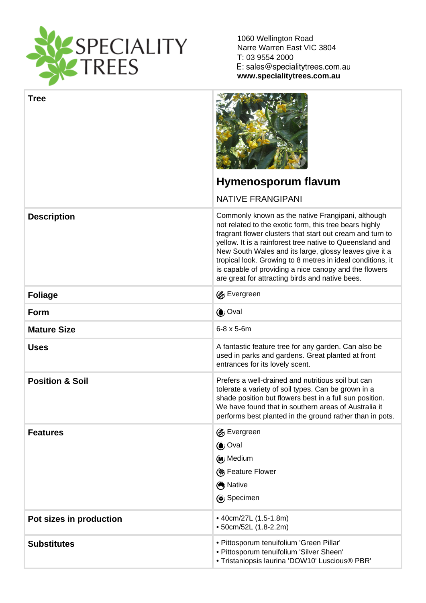1060 Wellington Road Narre Warren East VIC 3804 T: 03 9554 2000

www.specialitytrees.com.au

| <b>Tree</b>             |                                                                                                                                                                                                                                                                                                                                                                                                                                                                          |
|-------------------------|--------------------------------------------------------------------------------------------------------------------------------------------------------------------------------------------------------------------------------------------------------------------------------------------------------------------------------------------------------------------------------------------------------------------------------------------------------------------------|
|                         | Hymenosporum flavum                                                                                                                                                                                                                                                                                                                                                                                                                                                      |
|                         | <b>NATIVE FRANGIPANI</b>                                                                                                                                                                                                                                                                                                                                                                                                                                                 |
| Description             | Commonly known as the native Frangipani, although<br>not related to the exotic form, this tree bears highly<br>fragrant flower clusters that start out cream and turn to<br>yellow. It is a rainforest tree native to Queensland and<br>New South Wales and its large, glossy leaves give it a<br>tropical look. Growing to 8 metres in ideal conditions, it<br>is capable of providing a nice canopy and the flowers<br>are great for attracting birds and native bees. |
| Foliage                 | <b>&amp; Evergreen</b>                                                                                                                                                                                                                                                                                                                                                                                                                                                   |
| Form                    | Oval                                                                                                                                                                                                                                                                                                                                                                                                                                                                     |
| <b>Mature Size</b>      | $6 - 8 \times 5 - 6$ m                                                                                                                                                                                                                                                                                                                                                                                                                                                   |
| <b>Uses</b>             | A fantastic feature tree for any garden. Can also be<br>used in parks and gardens. Great planted at front<br>entrances for its lovely scent.                                                                                                                                                                                                                                                                                                                             |
| Position & Soil         | Prefers a well-drained and nutritious soil but can<br>tolerate a variety of soil types. Can be grown in a<br>shade position but flowers best in a full sun position.<br>We have found that in southern areas of Australia it<br>performs best planted in the ground rather than in pots.                                                                                                                                                                                 |
| <b>Features</b>         | <b><s< b=""> Evergreen<br/>(Oval<br/>(M<sub>J</sub> Medium<br/>(※ Feature Flower<br/>Native<br/>Specimen</s<></b>                                                                                                                                                                                                                                                                                                                                                        |
| Pot sizes in production | • 40cm/27L (1.5-1.8m)<br>• 50cm/52L (1.8-2.2m)                                                                                                                                                                                                                                                                                                                                                                                                                           |
| <b>Substitutes</b>      | · Pittosporum tenuifolium 'Green Pillar'<br>· Pittosporum tenuifolium 'Silver Sheen'<br>· Tristaniopsis laurina 'DOW10' Luscious® PBR'                                                                                                                                                                                                                                                                                                                                   |